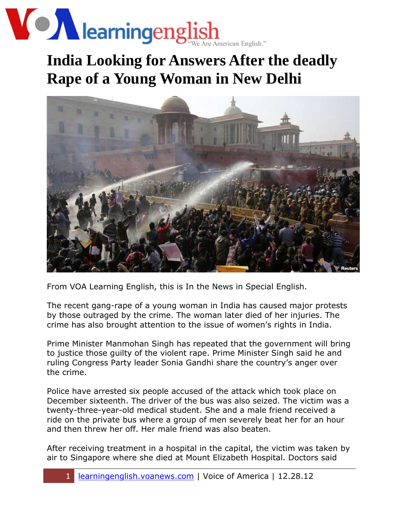## **VON learningenglish** merican English."

## **India Looking for Answers After the deadly Rape of a Young Woman in New Delhi**



From VOA Learning English, this is In the News in Special English.

The recent gang-rape of a young woman in India has caused major protests by those outraged by the crime. The woman later died of her injuries. The crime has also brought attention to the issue of women's rights in India.

Prime Minister Manmohan Singh has repeated that the government will bring to justice those guilty of the violent rape. Prime Minister Singh said he and ruling Congress Party leader Sonia Gandhi share the country's anger over the crime.

Police have arrested six people accused of the attack which took place on December sixteenth. The driver of the bus was also seized. The victim was a twenty-three-year-old medical student. She and a male friend received a ride on the private bus where a group of men severely beat her for an hour and then threw her off. Her male friend was also beaten.

After receiving treatment in a hospital in the capital, the victim was taken by air to Singapore where she died at Mount Elizabeth Hospital. Doctors said